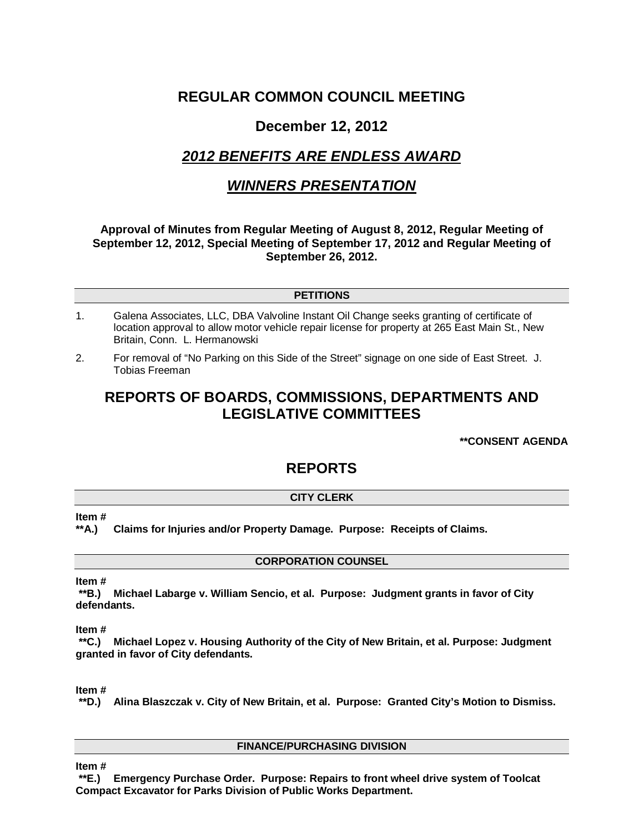# **REGULAR COMMON COUNCIL MEETING**

# **December 12, 2012**

# *2012 BENEFITS ARE ENDLESS AWARD*

# *WINNERS PRESENTATION*

# **Approval of Minutes from Regular Meeting of August 8, 2012, Regular Meeting of September 12, 2012, Special Meeting of September 17, 2012 and Regular Meeting of September 26, 2012.**

# **PETITIONS**

- 1. Galena Associates, LLC, DBA Valvoline Instant Oil Change seeks granting of certificate of location approval to allow motor vehicle repair license for property at 265 East Main St., New Britain, Conn. L. Hermanowski
- 2. For removal of "No Parking on this Side of the Street" signage on one side of East Street. J. Tobias Freeman

# **REPORTS OF BOARDS, COMMISSIONS, DEPARTMENTS AND LEGISLATIVE COMMITTEES**

# **\*\*CONSENT AGENDA**

# **REPORTS**

# **CITY CLERK**

## **Item #**

## **\*\*A.) Claims for Injuries and/or Property Damage. Purpose: Receipts of Claims.**

## **CORPORATION COUNSEL**

## **Item #**

**\*\*B.) Michael Labarge v. William Sencio, et al. Purpose: Judgment grants in favor of City defendants.**

## **Item #**

**\*\*C.) Michael Lopez v. Housing Authority of the City of New Britain, et al. Purpose: Judgment granted in favor of City defendants.** 

## **Item #**

**\*\*D.) Alina Blaszczak v. City of New Britain, et al. Purpose: Granted City's Motion to Dismiss.**

## **FINANCE/PURCHASING DIVISION**

**Item #**

**\*\*E.) Emergency Purchase Order. Purpose: Repairs to front wheel drive system of Toolcat Compact Excavator for Parks Division of Public Works Department.**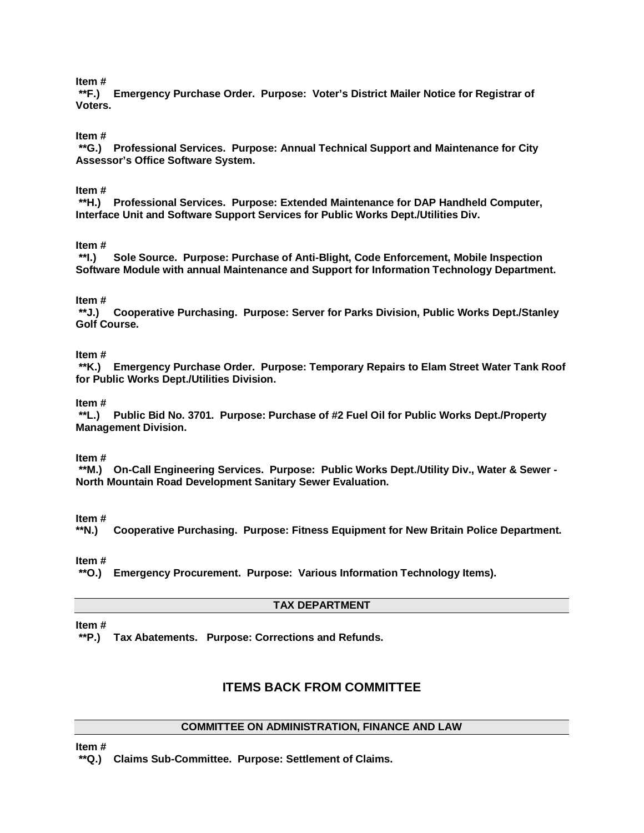**Item #**

**\*\*F.) Emergency Purchase Order. Purpose: Voter's District Mailer Notice for Registrar of Voters.**

## **Item #**

**\*\*G.) Professional Services. Purpose: Annual Technical Support and Maintenance for City Assessor's Office Software System.**

## **Item #**

**\*\*H.) Professional Services. Purpose: Extended Maintenance for DAP Handheld Computer, Interface Unit and Software Support Services for Public Works Dept./Utilities Div.**

# **Item #**

**\*\*I.) Sole Source. Purpose: Purchase of Anti-Blight, Code Enforcement, Mobile Inspection Software Module with annual Maintenance and Support for Information Technology Department.**

#### **Item #**

**\*\*J.) Cooperative Purchasing. Purpose: Server for Parks Division, Public Works Dept./Stanley Golf Course.**

# **Item #**

**\*\*K.) Emergency Purchase Order. Purpose: Temporary Repairs to Elam Street Water Tank Roof for Public Works Dept./Utilities Division.**

#### **Item #**

**\*\*L.) Public Bid No. 3701. Purpose: Purchase of #2 Fuel Oil for Public Works Dept./Property Management Division.**

#### **Item #**

**\*\*M.) On-Call Engineering Services. Purpose: Public Works Dept./Utility Div., Water & Sewer - North Mountain Road Development Sanitary Sewer Evaluation.**

#### **Item #**

**\*\*N.) Cooperative Purchasing. Purpose: Fitness Equipment for New Britain Police Department.**

### **Item #**

**\*\*O.) Emergency Procurement. Purpose: Various Information Technology Items).**

#### **TAX DEPARTMENT**

**Item #**

**\*\*P.) Tax Abatements. Purpose: Corrections and Refunds.** 

# **ITEMS BACK FROM COMMITTEE**

# **COMMITTEE ON ADMINISTRATION, FINANCE AND LAW**

**Item #**

**\*\*Q.) Claims Sub-Committee. Purpose: Settlement of Claims.**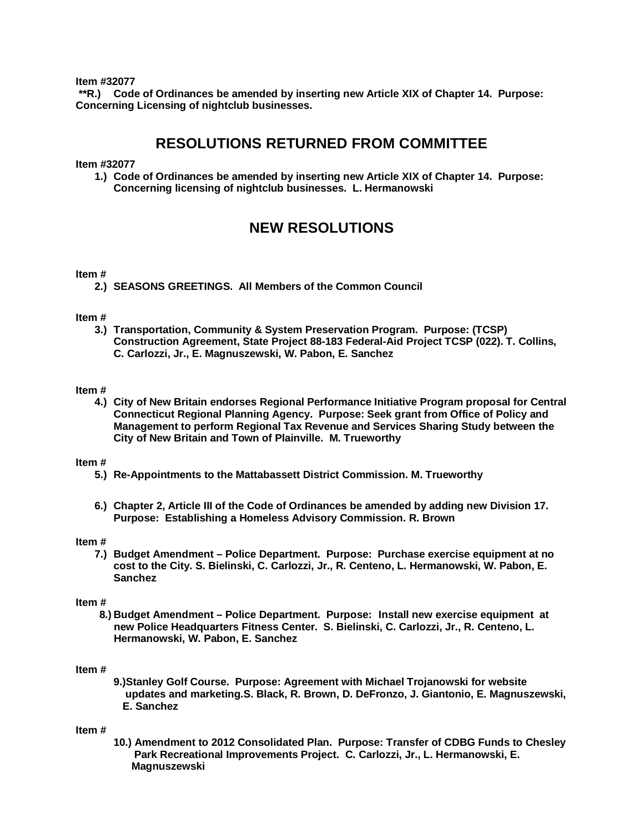**Item #32077**

**\*\*R.) Code of Ordinances be amended by inserting new Article XIX of Chapter 14. Purpose: Concerning Licensing of nightclub businesses.**

# **RESOLUTIONS RETURNED FROM COMMITTEE**

**Item #32077**

**1.) Code of Ordinances be amended by inserting new Article XIX of Chapter 14. Purpose: Concerning licensing of nightclub businesses. L. Hermanowski**

# **NEW RESOLUTIONS**

#### **Item #**

**2.) SEASONS GREETINGS. All Members of the Common Council**

#### **Item #**

**3.) Transportation, Community & System Preservation Program. Purpose: (TCSP) Construction Agreement, State Project 88-183 Federal-Aid Project TCSP (022). T. Collins, C. Carlozzi, Jr., E. Magnuszewski, W. Pabon, E. Sanchez**

#### **Item #**

**4.) City of New Britain endorses Regional Performance Initiative Program proposal for Central Connecticut Regional Planning Agency. Purpose: Seek grant from Office of Policy and Management to perform Regional Tax Revenue and Services Sharing Study between the City of New Britain and Town of Plainville. M. Trueworthy** 

#### **Item #**

- **5.) Re-Appointments to the Mattabassett District Commission. M. Trueworthy**
- **6.) Chapter 2, Article III of the Code of Ordinances be amended by adding new Division 17. Purpose: Establishing a Homeless Advisory Commission. R. Brown**

#### **Item #**

**7.) Budget Amendment – Police Department. Purpose: Purchase exercise equipment at no cost to the City. S. Bielinski, C. Carlozzi, Jr., R. Centeno, L. Hermanowski, W. Pabon, E. Sanchez**

#### **Item #**

 **8.) Budget Amendment – Police Department. Purpose: Install new exercise equipment at new Police Headquarters Fitness Center. S. Bielinski, C. Carlozzi, Jr., R. Centeno, L. Hermanowski, W. Pabon, E. Sanchez**

#### **Item #**

**9.)Stanley Golf Course. Purpose: Agreement with Michael Trojanowski for website updates and marketing.S. Black, R. Brown, D. DeFronzo, J. Giantonio, E. Magnuszewski, E. Sanchez**

#### **Item #**

**10.) Amendment to 2012 Consolidated Plan. Purpose: Transfer of CDBG Funds to Chesley Park Recreational Improvements Project. C. Carlozzi, Jr., L. Hermanowski, E. Magnuszewski**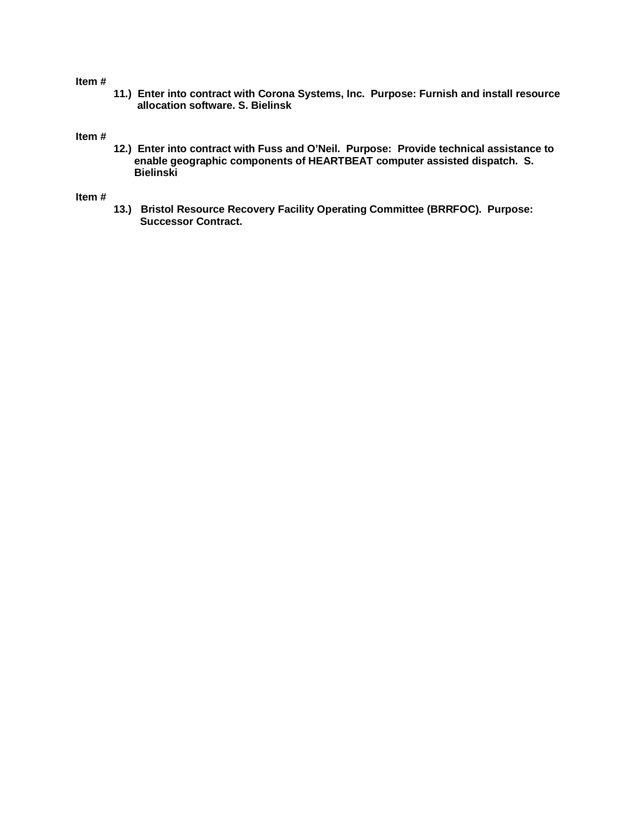#### **Item #**

**11.) Enter into contract with Corona Systems, Inc. Purpose: Furnish and install resource allocation software. S. Bielinsk**

# **Item #**

**12.) Enter into contract with Fuss and O'Neil. Purpose: Provide technical assistance to enable geographic components of HEARTBEAT computer assisted dispatch. S. Bielinski**

#### **Item #**

**13.) Bristol Resource Recovery Facility Operating Committee (BRRFOC). Purpose: Successor Contract.**